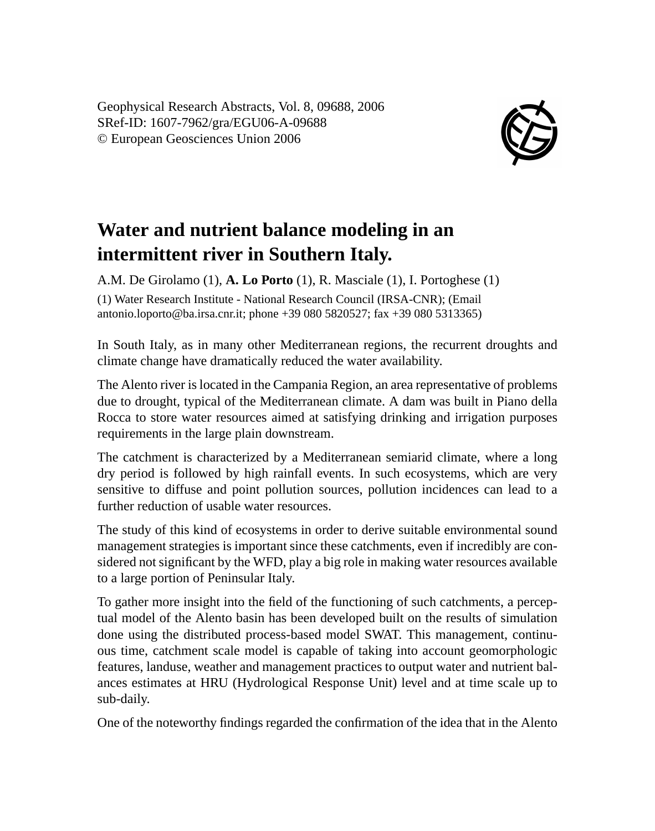Geophysical Research Abstracts, Vol. 8, 09688, 2006 SRef-ID: 1607-7962/gra/EGU06-A-09688 © European Geosciences Union 2006



## **Water and nutrient balance modeling in an intermittent river in Southern Italy.**

A.M. De Girolamo (1), **A. Lo Porto** (1), R. Masciale (1), I. Portoghese (1) (1) Water Research Institute - National Research Council (IRSA-CNR); (Email antonio.loporto@ba.irsa.cnr.it; phone +39 080 5820527; fax +39 080 5313365)

In South Italy, as in many other Mediterranean regions, the recurrent droughts and climate change have dramatically reduced the water availability.

The Alento river is located in the Campania Region, an area representative of problems due to drought, typical of the Mediterranean climate. A dam was built in Piano della Rocca to store water resources aimed at satisfying drinking and irrigation purposes requirements in the large plain downstream.

The catchment is characterized by a Mediterranean semiarid climate, where a long dry period is followed by high rainfall events. In such ecosystems, which are very sensitive to diffuse and point pollution sources, pollution incidences can lead to a further reduction of usable water resources.

The study of this kind of ecosystems in order to derive suitable environmental sound management strategies is important since these catchments, even if incredibly are considered not significant by the WFD, play a big role in making water resources available to a large portion of Peninsular Italy.

To gather more insight into the field of the functioning of such catchments, a perceptual model of the Alento basin has been developed built on the results of simulation done using the distributed process-based model SWAT. This management, continuous time, catchment scale model is capable of taking into account geomorphologic features, landuse, weather and management practices to output water and nutrient balances estimates at HRU (Hydrological Response Unit) level and at time scale up to sub-daily.

One of the noteworthy findings regarded the confirmation of the idea that in the Alento